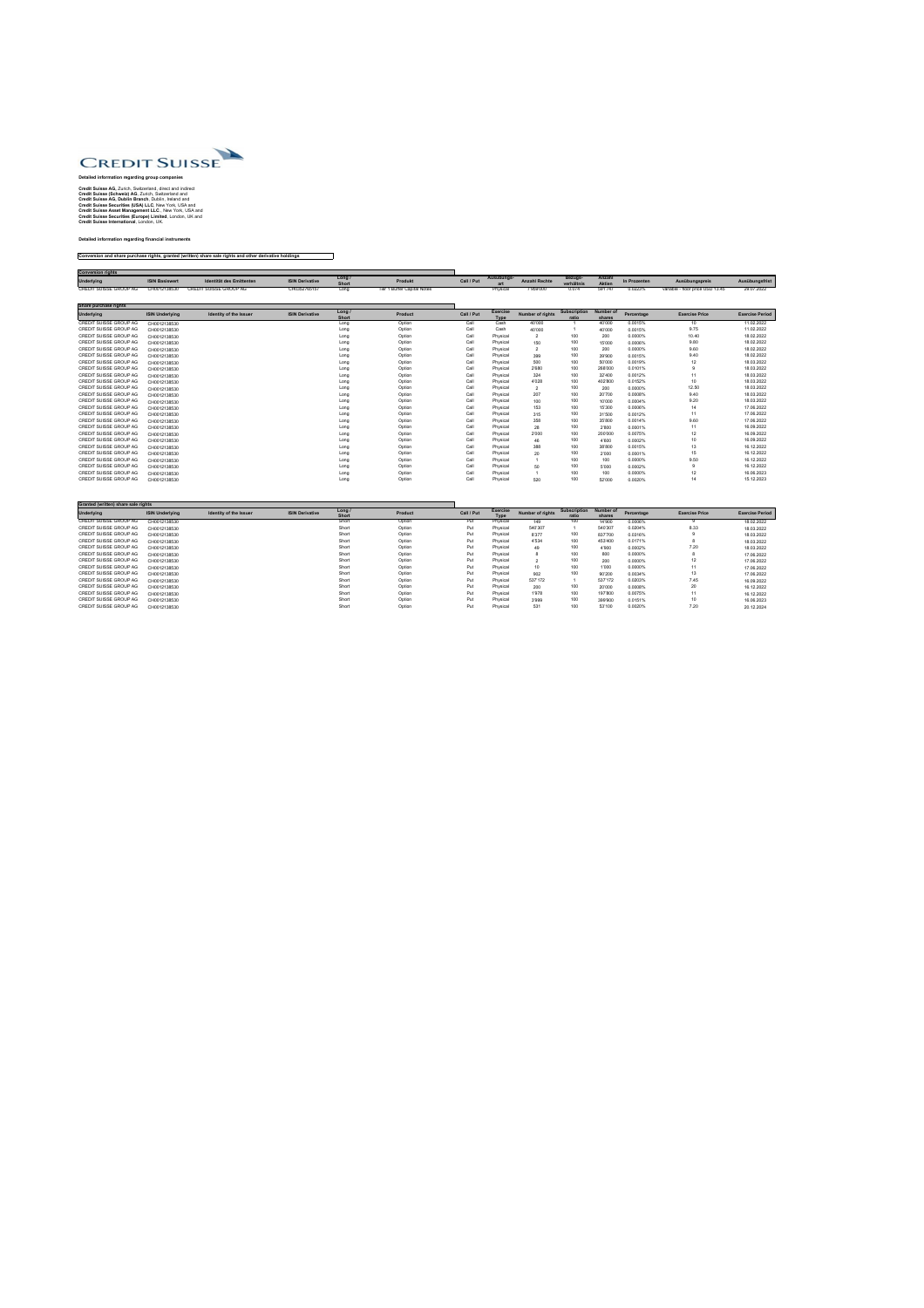

## **Detailed information regarding group companies**

**Credit Suisse AG,** Zurich, Switzerland, direct and indirect **Credit Suisse (Schweiz) AG**, Zurich, Switzerland and **Credit Suisse AG, Dublin Branch**, Dublin, Ireland and **Credit Suisse Securities (USA) LLC**, New York, USA and **Credit Suisse Asset Management LLC**., New York, USA and **Credit Suisse Securities (Europe) Limited**, London, UK and **Credit Suisse International**, London, UK.

## **Detailed information regarding financial instruments**

## **Conversion and share purchase rights, granted (written) share sale rights and other derivative holdings**

| <b>Conversion rights</b>      |                       |                               |                        |               |                            |            |            |                      |                       |                         |              |                                  |                |
|-------------------------------|-----------------------|-------------------------------|------------------------|---------------|----------------------------|------------|------------|----------------------|-----------------------|-------------------------|--------------|----------------------------------|----------------|
| Underlying                    | <b>ISIN Basiswert</b> | Identität des Emittenten      | <b>ISIN Derivative</b> | Long<br>Short | <b>Produkt</b>             | Call / Put | Ausübungs- | <b>Anzahl Rechte</b> | Bezugs-<br>verhältnis | Anzahl<br><b>Aktien</b> | In Prozenten | Ausübungspreis                   | Ausübungsfrist |
| <b>CREDIT SUISSE GROUP AG</b> | CH0012138530          | <b>CREDIT SUISSE GROUP AG</b> | CH0352765157           | Long          | Ter 1 Buffer Capital Notes |            | Physical   | 7'959'000            | 0.074                 | 591'747                 | 0.0223%      | variable - floor price USD 13.45 | 29.07.2022     |

| Share purchase rights         |                        |                               |                        |                        |                |            |                                |                         |                              |                            |            |                       |                        |
|-------------------------------|------------------------|-------------------------------|------------------------|------------------------|----------------|------------|--------------------------------|-------------------------|------------------------------|----------------------------|------------|-----------------------|------------------------|
| <b>Underlying</b>             | <b>ISIN Underlying</b> | <b>Identity of the Issuer</b> | <b>ISIN Derivative</b> | Long /<br><b>Short</b> | <b>Product</b> | Call / Put | <b>Exercise</b><br><b>Type</b> | <b>Number of rights</b> | <b>Subscription</b><br>ratio | <b>Number of</b><br>shares | Percentage | <b>Exercise Price</b> | <b>Exercise Period</b> |
| <b>CREDIT SUISSE GROUP AG</b> | CH0012138530           |                               |                        | Long                   | Option         | Call       | Cash                           | 40'000                  |                              | 40'000                     | 0.0015%    | 10                    | 11.02.2022             |
| CREDIT SUISSE GROUP AG        | CH0012138530           |                               |                        | Long                   | Option         | Call       | Cash                           | 40'000                  |                              | 40'000                     | 0.0015%    | 9.75                  | 11.02.2022             |
| CREDIT SUISSE GROUP AG        | CH0012138530           |                               |                        | Long                   | Option         | Call       | Physical                       | $\overline{2}$          | 100                          | 200                        | 0.0000%    | 10.40                 | 18.02.2022             |
| <b>CREDIT SUISSE GROUP AG</b> | CH0012138530           |                               |                        | Long                   | Option         | Call       | Physical                       | 150                     | 100                          | 15'000                     | 0.0006%    | 9.80                  | 18.02.2022             |
| <b>CREDIT SUISSE GROUP AG</b> | CH0012138530           |                               |                        | Long                   | Option         | Call       | Physical                       | $\overline{2}$          | 100                          | 200                        | 0.0000%    | 9.60                  | 18.02.2022             |
| <b>CREDIT SUISSE GROUP AG</b> | CH0012138530           |                               |                        | Long                   | Option         | Call       | Physical                       | 399                     | 100                          | 39'900                     | 0.0015%    | 9.40                  | 18.02.2022             |
| <b>CREDIT SUISSE GROUP AG</b> | CH0012138530           |                               |                        | Long                   | Option         | Call       | Physical                       | 500                     | 100                          | 50'000                     | 0.0019%    |                       | 18.03.2022             |
| <b>CREDIT SUISSE GROUP AG</b> | CH0012138530           |                               |                        | Long                   | Option         | Call       | Physical                       | 2'680                   | 100                          | 268'000                    | 0.0101%    |                       | 18.03.2022             |
| CREDIT SUISSE GROUP AG        | CH0012138530           |                               |                        | Long                   | Option         | Call       | Physical                       | 324                     | 100                          | 32'400                     | 0.0012%    |                       | 18.03.2022             |
| <b>CREDIT SUISSE GROUP AG</b> | CH0012138530           |                               |                        | Long                   | Option         | Call       | Physical                       | 4'028                   | 100                          | 402'800                    | 0.0152%    | 10                    | 18.03.2022             |
| CREDIT SUISSE GROUP AG        | CH0012138530           |                               |                        | Long                   | Option         | Call       | Physical                       | $\overline{2}$          | 100                          | 200                        | 0.0000%    | 12.50                 | 18.03.2022             |
| <b>CREDIT SUISSE GROUP AG</b> | CH0012138530           |                               |                        | Long                   | Option         | Call       | Physical                       | 207                     | 100                          | 20'700                     | 0.0008%    | 9.40                  | 18.03.2022             |
| <b>CREDIT SUISSE GROUP AG</b> | CH0012138530           |                               |                        | Long                   | Option         | Call       | Physical                       | 100                     | 100                          | 10'000                     | 0.0004%    | 9.20                  | 18.03.2022             |
| <b>CREDIT SUISSE GROUP AG</b> | CH0012138530           |                               |                        | Long                   | Option         | Call       | Physical                       | 153                     | 100                          | 15'300                     | 0.0006%    |                       | 17.06.2022             |
| <b>CREDIT SUISSE GROUP AG</b> | CH0012138530           |                               |                        | Long                   | Option         | Call       | Physical                       | 315                     | 100                          | 31'500                     | 0.0012%    |                       | 17.06.2022             |
| <b>CREDIT SUISSE GROUP AG</b> | CH0012138530           |                               |                        | Long                   | Option         | Call       | Physical                       | 358                     | 100                          | 35'800                     | 0.0014%    | 9.60                  | 17.06.2022             |
| <b>CREDIT SUISSE GROUP AG</b> | CH0012138530           |                               |                        | Long                   | Option         | Call       | Physical                       | 28                      | 100                          | 2'800                      | 0.0001%    |                       | 16.09.2022             |
| <b>CREDIT SUISSE GROUP AG</b> | CH0012138530           |                               |                        | Long                   | Option         | Call       | Physical                       | 2'000                   | 100                          | 200'000                    | 0.0075%    | 12                    | 16.09.2022             |
| CREDIT SUISSE GROUP AG        | CH0012138530           |                               |                        | Long                   | Option         | Call       | Physical                       | 46                      | 100                          | 4'600                      | 0.0002%    |                       | 16.09.2022             |
| <b>CREDIT SUISSE GROUP AG</b> | CH0012138530           |                               |                        | Long                   | Option         | Call       | Physical                       | 388                     | 100                          | 38'800                     | 0.0015%    | 13                    | 16.12.2022             |
| <b>CREDIT SUISSE GROUP AG</b> | CH0012138530           |                               |                        | Long                   | Option         | Call       | Physical                       | 20                      | 100                          | 2'000                      | 0.0001%    | 15                    | 16.12.2022             |
| <b>CREDIT SUISSE GROUP AG</b> | CH0012138530           |                               |                        | Long                   | Option         | Call       | Physical                       |                         | 100                          | 100                        | 0.0000%    | 9.50                  | 16.12.2022             |
| <b>CREDIT SUISSE GROUP AG</b> | CH0012138530           |                               |                        | Long                   | Option         | Call       | Physical                       | 50                      | 100                          | 5'000                      | 0.0002%    |                       | 16.12.2022             |
| <b>CREDIT SUISSE GROUP AG</b> | CH0012138530           |                               |                        | Long                   | Option         | Call       | Physical                       |                         | 100                          | 100                        | 0.0000%    |                       | 16.06.2023             |
| CREDIT SUISSE GROUP AG        | CH0012138530           |                               |                        | Long                   | Option         | Call       | Physical                       | 520                     | 100                          | 52'000                     | 0.0020%    |                       | 15.12.2023             |
|                               |                        |                               |                        |                        |                |            |                                |                         |                              |                            |            |                       |                        |

| <b>Granted (written) share sale rights</b> |                        |                               |                        |                      |                |            |                                |                         |                              |                            |            |                       |                        |
|--------------------------------------------|------------------------|-------------------------------|------------------------|----------------------|----------------|------------|--------------------------------|-------------------------|------------------------------|----------------------------|------------|-----------------------|------------------------|
| <b>Underlying</b>                          | <b>ISIN Underlying</b> | <b>Identity of the Issuer</b> | <b>ISIN Derivative</b> | Long<br><b>Short</b> | <b>Product</b> | Call / Put | <b>Exercise</b><br><b>Type</b> | <b>Number of rights</b> | <b>Subscription</b><br>ratio | <b>Number of</b><br>shares | Percentage | <b>Exercise Price</b> | <b>Exercise Period</b> |
| CREDIT SUISSE GROUP AG                     | CH0012138530           |                               |                        | Short                | Option         | Put        | Physical                       | 149                     | 100                          | 14'900                     | 0.0006%    |                       | 18.02.2022             |
| CREDIT SUISSE GROUP AG                     | CH0012138530           |                               |                        | Short                | Option         | Put        | Physical                       | 540'307                 |                              | 540'307                    | 0.0204%    | 8.33                  | 18.03.2022             |
| CREDIT SUISSE GROUP AG                     | CH0012138530           |                               |                        | Short                | Option         | Put        | Physical                       | 8'377                   | 100                          | 837'700                    | 0.0316%    |                       | 18.03.2022             |
| CREDIT SUISSE GROUP AG                     | CH0012138530           |                               |                        | Short                | Option         | Put        | Physical                       | 4'534                   | 100                          | 453'400                    | 0.0171%    |                       | 18.03.2022             |
| CREDIT SUISSE GROUP AG                     | CH0012138530           |                               |                        | Short                | Option         | Put        | Physical                       | 49                      | 100                          | 4'900                      | 0.0002%    | 7.20                  | 18.03.2022             |
| CREDIT SUISSE GROUP AG                     | CH0012138530           |                               |                        | Short                | Option         | Put        | Physical                       |                         | 100                          | 800                        | 0.0000%    |                       | 17.06.2022             |
| CREDIT SUISSE GROUP AG                     | CH0012138530           |                               |                        | Short                | Option         | Put        | Physical                       |                         | 100                          | 200                        | 0.0000%    |                       | 17.06.2022             |
| CREDIT SUISSE GROUP AG                     | CH0012138530           |                               |                        | Short                | Option         | Put        | Physical                       | 10                      | 100                          | 1'000                      | 0.0000%    |                       | 17.06.2022             |
| <b>CREDIT SUISSE GROUP AG</b>              | CH0012138530           |                               |                        | Short                | Option         | Put        | Physical                       | 902                     | 100                          | 90'200                     | 0.0034%    | ا ت                   | 17.06.2022             |
| CREDIT SUISSE GROUP AG                     | CH0012138530           |                               |                        | Short                | Option         | Put        | Physical                       | 537'172                 |                              | 537'172                    | 0.0203%    | 7.45                  | 16.09.2022             |
| CREDIT SUISSE GROUP AG                     | CH0012138530           |                               |                        | Short                | Option         | Put        | Physical                       | 200                     | 100                          | 20'000                     | 0.0008%    | 20                    | 16.12.2022             |
| CREDIT SUISSE GROUP AG                     | CH0012138530           |                               |                        | Short                | Option         | Put        | Physical                       | 1'978                   | 100                          | 197'800                    | 0.0075%    |                       | 16.12.2022             |
| CREDIT SUISSE GROUP AG                     | CH0012138530           |                               |                        | Short                | Option         | Put        | Physical                       | 3'999                   | 100                          | 399'900                    | 0.0151%    |                       | 16.06.2023             |
| CREDIT SUISSE GROUP AG                     | CH0012138530           |                               |                        | Short                | Option         | Put        | Physical                       | 531                     | 100                          | 53'100                     | 0.0020%    | 7.20                  | 20.12.2024             |